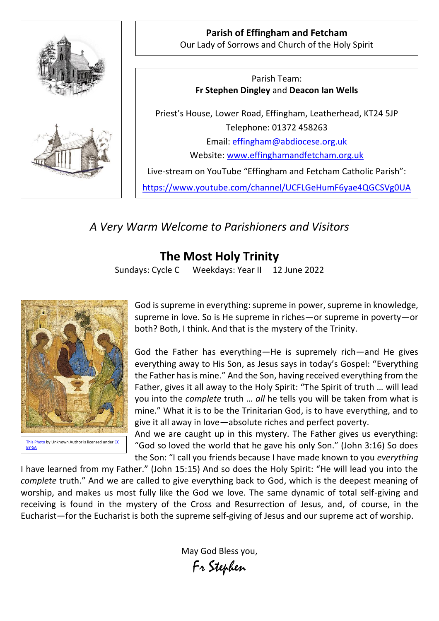

**Parish of Effingham and Fetcham** Our Lady of Sorrows and Church of the Holy Spirit

Parish Team: **Fr Stephen Dingley** and **Deacon Ian Wells**

Priest's House, Lower Road, Effingham, Leatherhead, KT24 5JP Telephone: 01372 458263 Email: [effingham@abdiocese.org.uk](mailto:effingham@abdiocese.org.uk) Website: [www.effinghamandfetcham.org.uk](http://www.effinghamandfetcham.org.uk/)

Live-stream on YouTube "Effingham and Fetcham Catholic Parish":

<https://www.youtube.com/channel/UCFLGeHumF6yae4QGCSVg0UA>

*A Very Warm Welcome to Parishioners and Visitors*

# **The Most Holy Trinity**

Sundays: Cycle C Weekdays: Year II 12 June 2022



God is supreme in everything: supreme in power, supreme in knowledge, supreme in love. So is He supreme in riches—or supreme in poverty—or both? Both, I think. And that is the mystery of the Trinity.

God the Father has everything—He is supremely rich—and He gives everything away to His Son, as Jesus says in today's Gospel: "Everything the Father has is mine." And the Son, having received everything from the Father, gives it all away to the Holy Spirit: "The Spirit of truth … will lead you into the *complete* truth … *all* he tells you will be taken from what is mine." What it is to be the Trinitarian God, is to have everything, and to give it all away in love—absolute riches and perfect poverty.

And we are caught up in this mystery. The Father gives us everything: "God so loved the world that he gave his only Son." (John 3:16) So does the Son: "I call you friends because I have made known to you *everything*

I have learned from my Father." (John 15:15) And so does the Holy Spirit: "He will lead you into the *complete* truth." And we are called to give everything back to God, which is the deepest meaning of worship, and makes us most fully like the God we love. The same dynamic of total self-giving and receiving is found in the mystery of the Cross and Resurrection of Jesus, and, of course, in the Eucharist—for the Eucharist is both the supreme self-giving of Jesus and our supreme act of worship.

May God Bless you,

Fr Stephen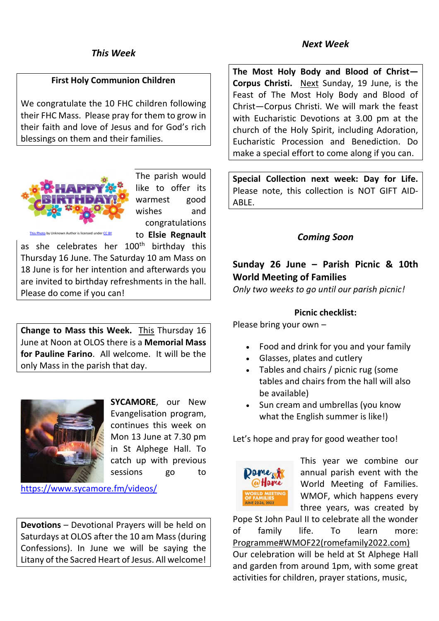# *This Week*

#### **First Holy Communion Children**

We congratulate the 10 FHC children following their FHC Mass. Please pray for them to grow in their faith and love of Jesus and for God's rich blessings on them and their families.



The parish would like to offer its warmest good wishes and congratulations to **Elsie Regnault**

oto by Unknown Author is licensed under <mark>CC BY</mark>

as she celebrates her 100<sup>th</sup> birthday this Thursday 16 June. The Saturday 10 am Mass on 18 June is for her intention and afterwards you are invited to birthday refreshments in the hall. Please do come if you can!

**Change to Mass this Week.** This Thursday 16 June at Noon at OLOS there is a **Memorial Mass for Pauline Farino**. All welcome. It will be the only Mass in the parish that day.



**SYCAMORE**, our New Evangelisation program, continues this week on Mon 13 June at 7.30 pm in St Alphege Hall. To catch up with previous sessions go to

<https://www.sycamore.fm/videos/>

**Devotions** – Devotional Prayers will be held on Saturdays at OLOS after the 10 am Mass (during Confessions). In June we will be saying the Litany of the Sacred Heart of Jesus. All welcome!

# **The Most Holy Body and Blood of Christ— Corpus Christi.** Next Sunday, 19 June, is the Feast of The Most Holy Body and Blood of Christ—Corpus Christi. We will mark the feast with Eucharistic Devotions at 3.00 pm at the church of the Holy Spirit, including Adoration, Eucharistic Procession and Benediction. Do

**Special Collection next week: Day for Life.** Please note, this collection is NOT GIFT AID-ABLE.

make a special effort to come along if you can.

# *Coming Soon*

# **Sunday 26 June – Parish Picnic & 10th World Meeting of Families**

*Only two weeks to go until our parish picnic!* 

#### **Picnic checklist:**

Please bring your own –

- Food and drink for you and your family
- Glasses, plates and cutlery
- Tables and chairs / picnic rug (some tables and chairs from the hall will also be available)
- Sun cream and umbrellas (you know what the English summer is like!)

Let's hope and pray for good weather too!



This year we combine our annual parish event with the World Meeting of Families. WMOF, which happens every three years, was created by

Pope St John Paul II to celebrate all the wonder of family life. To learn more: [Programme#WMOF22\(romefamily2022.com\)](https://eur02.safelinks.protection.outlook.com/?url=https%3A%2F%2Fwww.romefamily2022.com%2Fen%2Fprogramma%2F&data=05%7C01%7Ceffingham%40abdiocese.org.uk%7Ce94099a08c7c41ca56bb08da3379b12b%7C2bf5dbc217ef4efca1c9ab2dc4edefd0%7C0%7C0%7C637878894997229084%7CUnknown%7CTWFpbGZsb3d8eyJWIjoiMC4wLjAwMDAiLCJQIjoiV2luMzIiLCJBTiI6Ik1haWwiLCJXVCI6Mn0%3D%7C3000%7C%7C%7C&sdata=pdnaYpc%2B3LtusaM5sz6cSNaaDjG51WJ5v1t%2Bw%2FzuqW4%3D&reserved=0) Our celebration will be held at St Alphege Hall and garden from around 1pm, with some great activities for children, prayer stations, music,

#### *Next Week*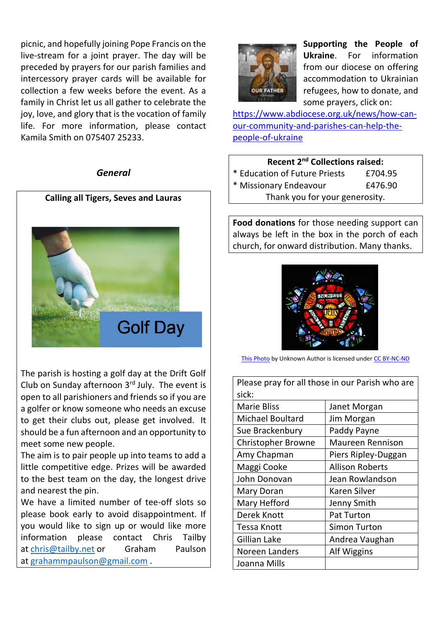picnic, and hopefully joining Pope Francis on the live-stream for a joint prayer. The day will be preceded by prayers for our parish families and intercessory prayer cards will be available for collection a few weeks before the event. As a family in Christ let us all gather to celebrate the joy, love, and glory that is the vocation of family life. For more information, please contact Kamila Smith on 075407 25233.

#### *General*

#### **Calling all Tigers, Seves and Lauras**



The parish is hosting a golf day at the Drift Golf Club on Sunday afternoon  $3<sup>rd</sup>$  July. The event is open to all parishioners and friends so if you are a golfer or know someone who needs an excuse to get their clubs out, please get involved. It should be a fun afternoon and an opportunity to meet some new people.

The aim is to pair people up into teams to add a little competitive edge. Prizes will be awarded to the best team on the day, the longest drive and nearest the pin.

We have a limited number of tee-off slots so please book early to avoid disappointment. If you would like to sign up or would like more information please contact Chris Tailby at [chris@tailby.net](mailto:chris@tailby.net) or Graham Paulson at [grahammpaulson@gmail.com](mailto:grahammpaulson@gmail.com) .



**Supporting the People of Ukraine**. For information from our diocese on offering accommodation to Ukrainian refugees, how to donate, and some prayers, click on:

[https://www.abdiocese.org.uk/news/how-can](https://www.abdiocese.org.uk/news/how-can-our-community-and-parishes-can-help-the-people-of-ukraine)[our-community-and-parishes-can-help-the](https://www.abdiocese.org.uk/news/how-can-our-community-and-parishes-can-help-the-people-of-ukraine)[people-of-ukraine](https://www.abdiocese.org.uk/news/how-can-our-community-and-parishes-can-help-the-people-of-ukraine)

## **Recent 2nd Collections raised:**

- \* Education of Future Priests £704.95
- \* Missionary Endeavour £476.90 Thank you for your generosity.

**Food donations** for those needing support can always be left in the box in the porch of each church, for onward distribution. Many thanks.



[This Photo](https://www.flickr.com/photos/paullew/3600731119) by Unknown Author is licensed under [CC BY-NC-ND](https://creativecommons.org/licenses/by-nc-nd/3.0/)

| Please pray for all those in our Parish who are |                         |  |
|-------------------------------------------------|-------------------------|--|
| sick:                                           |                         |  |
| <b>Marie Bliss</b>                              | Janet Morgan            |  |
| <b>Michael Boultard</b>                         | Jim Morgan              |  |
| Sue Brackenbury                                 | Paddy Payne             |  |
| <b>Christopher Browne</b>                       | <b>Maureen Rennison</b> |  |
| Amy Chapman                                     | Piers Ripley-Duggan     |  |
| Maggi Cooke                                     | <b>Allison Roberts</b>  |  |
| John Donovan                                    | Jean Rowlandson         |  |
| Mary Doran                                      | Karen Silver            |  |
| Mary Hefford                                    | Jenny Smith             |  |
| Derek Knott                                     | <b>Pat Turton</b>       |  |
| Tessa Knott                                     | <b>Simon Turton</b>     |  |
| Gillian Lake                                    | Andrea Vaughan          |  |
| Noreen Landers                                  | Alf Wiggins             |  |
| Joanna Mills                                    |                         |  |